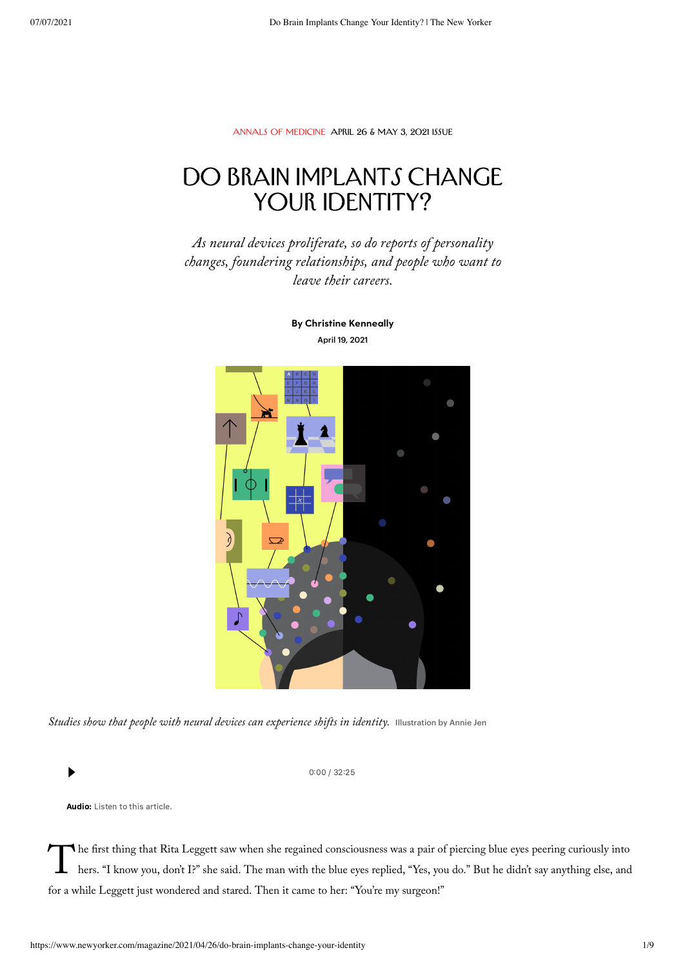[Annals of Medicine](https://www.newyorker.com/magazine/annals-of-medicine) [April 26 & May 3, 2021 Issue](https://www.newyorker.com/magazine/2021/04/26)

# DO BRAIN IMPLANTS CHANGE YOUR IDENTITY?

As neural devices proliferate, so do reports of personality changes, foundering relationships, and people who want to leave their careers.



By Christine [Kenneally](https://www.newyorker.com/contributors/christine-kenneally) April 19, 2021

Studies show that people with neural devices can experience shifts in identity. Illustration by Annie Jen

 $0:00 / 32:25$ 

Audio: Listen to this article.

The first thing that Rita Leggett saw when she regained consciousness was a pair of piercing blue eyes peering curiously into<br>hers. "I know you, don't I?" she said. The man with the blue eyes replied, "Yes, you do." But he he first thing that Rita Leggett saw when she regained consciousness was a pair of piercing blue eyes peering curiously into for a while Leggett just wondered and stared. Then it came to her: "You're my surgeon!"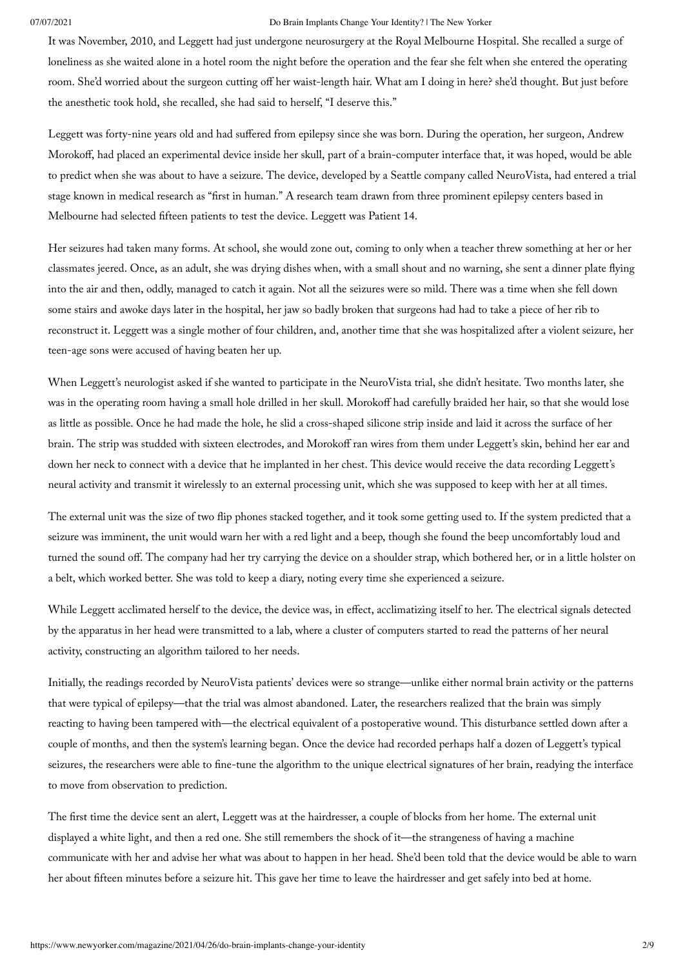It was November, 2010, and Leggett had just undergone neurosurgery at the Royal Melbourne Hospital. She recalled a surge of loneliness as she waited alone in a hotel room the night before the operation and the fear she felt when she entered the operating room. She'd worried about the surgeon cutting off her waist-length hair. What am I doing in here? she'd thought. But just before the anesthetic took hold, she recalled, she had said to herself, "I deserve this."

Leggett was forty-nine years old and had suffered from epilepsy since she was born. During the operation, her surgeon, Andrew Morokoff, had placed an experimental device inside her skull, part of a brain-computer interface that, it was hoped, would be able to predict when she was about to have a seizure. The device, developed by a Seattle company called NeuroVista, had entered a trial stage known in medical research as "first in human." A research team drawn from three prominent epilepsy centers based in Melbourne had selected fifteen patients to test the device. Leggett was Patient 14.

Her seizures had taken many forms. At school, she would zone out, coming to only when a teacher threw something at her or her classmates jeered. Once, as an adult, she was drying dishes when, with a small shout and no warning, she sent a dinner plate flying into the air and then, oddly, managed to catch it again. Not all the seizures were so mild. There was a time when she fell down some stairs and awoke days later in the hospital, her jaw so badly broken that surgeons had had to take a piece of her rib to reconstruct it. Leggett was a single mother of four children, and, another time that she was hospitalized after a violent seizure, her teen-age sons were accused of having beaten her up.

When Leggett's neurologist asked if she wanted to participate in the NeuroVista trial, she didn't hesitate. Two months later, she was in the operating room having a small hole drilled in her skull. Morokoff had carefully braided her hair, so that she would lose as little as possible. Once he had made the hole, he slid a cross-shaped silicone strip inside and laid it across the surface of her brain. The strip was studded with sixteen electrodes, and Morokoff ran wires from them under Leggett's skin, behind her ear and down her neck to connect with a device that he implanted in her chest. This device would receive the data recording Leggett's neural activity and transmit it wirelessly to an external processing unit, which she was supposed to keep with her at all times.

The external unit was the size of two flip phones stacked together, and it took some getting used to. If the system predicted that a seizure was imminent, the unit would warn her with a red light and a beep, though she found the beep uncomfortably loud and turned the sound off. The company had her try carrying the device on a shoulder strap, which bothered her, or in a little holster on a belt, which worked better. She was told to keep a diary, noting every time she experienced a seizure.

While Leggett acclimated herself to the device, the device was, in effect, acclimatizing itself to her. The electrical signals detected by the apparatus in her head were transmitted to a lab, where a cluster of computers started to read the patterns of her neural activity, constructing an algorithm tailored to her needs.

Initially, the readings recorded by NeuroVista patients' devices were so strange—unlike either normal brain activity or the patterns that were typical of epilepsy—that the trial was almost abandoned. Later, the researchers realized that the brain was simply reacting to having been tampered with—the electrical equivalent of a postoperative wound. This disturbance settled down after a couple of months, and then the system's learning began. Once the device had recorded perhaps half a dozen of Leggett's typical seizures, the researchers were able to fine-tune the algorithm to the unique electrical signatures of her brain, readying the interface to move from observation to prediction.

The first time the device sent an alert, Leggett was at the hairdresser, a couple of blocks from her home. The external unit displayed a white light, and then a red one. She still remembers the shock of it—the strangeness of having a machine communicate with her and advise her what was about to happen in her head. She'd been told that the device would be able to warn her about fifteen minutes before a seizure hit. This gave her time to leave the hairdresser and get safely into bed at home.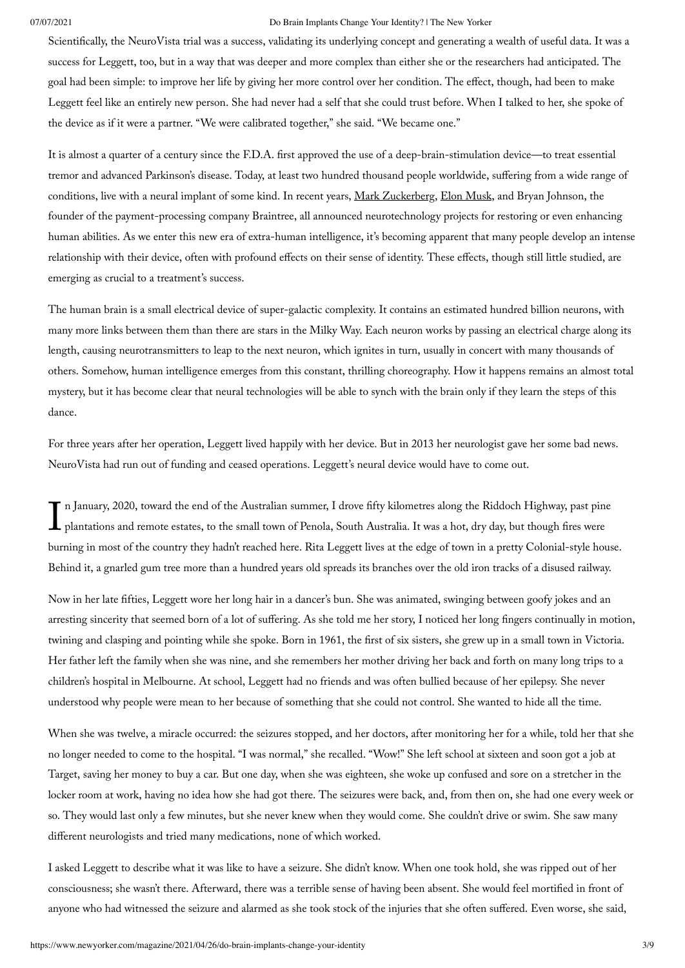Scientifically, the NeuroVista trial was a success, validating its underlying concept and generating a wealth of useful data. It was a success for Leggett, too, but in a way that was deeper and more complex than either she or the researchers had anticipated. The goal had been simple: to improve her life by giving her more control over her condition. The effect, though, had been to make Leggett feel like an entirely new person. She had never had a self that she could trust before. When I talked to her, she spoke of the device as if it were a partner. "We were calibrated together," she said. "We became one."

It is almost a quarter of a century since the F.D.A. first approved the use of a deep-brain-stimulation device—to treat essential tremor and advanced Parkinson's disease. Today, at least two hundred thousand people worldwide, suffering from a wide range of conditions, live with a neural implant of some kind. In recent years, Mark [Zuckerberg,](https://www.newyorker.com/magazine/2018/09/17/can-mark-zuckerberg-fix-facebook-before-it-breaks-democracy) Elon [Musk](https://www.newyorker.com/magazine/2009/08/24/plugged-in), and Bryan Johnson, the founder of the payment-processing company Braintree, all announced neurotechnology projects for restoring or even enhancing human abilities. As we enter this new era of extra-human intelligence, it's becoming apparent that many people develop an intense relationship with their device, often with profound effects on their sense of identity. These effects, though still little studied, are emerging as crucial to a treatment's success.

The human brain is a small electrical device of super-galactic complexity. It contains an estimated hundred billion neurons, with many more links between them than there are stars in the Milky Way. Each neuron works by passing an electrical charge along its length, causing neurotransmitters to leap to the next neuron, which ignites in turn, usually in concert with many thousands of others. Somehow, human intelligence emerges from this constant, thrilling choreography. How it happens remains an almost total mystery, but it has become clear that neural technologies will be able to synch with the brain only if they learn the steps of this dance.

For three years after her operation, Leggett lived happily with her device. But in 2013 her neurologist gave her some bad news. NeuroVista had run out of funding and ceased operations. Leggett's neural device would have to come out.

In January, 2020, toward the end of the Australian summer, I drove fifty kilometres along the Riddoch Highway, past pine<br>plantations and remote estates, to the small town of Penola, South Australia. It was a hot, dry day, n January, 2020, toward the end of the Australian summer, I drove fifty kilometres along the Riddoch Highway, past pine burning in most of the country they hadn't reached here. Rita Leggett lives at the edge of town in a pretty Colonial-style house. Behind it, a gnarled gum tree more than a hundred years old spreads its branches over the old iron tracks of a disused railway.

Now in her late fifties, Leggett wore her long hair in a dancer's bun. She was animated, swinging between goofy jokes and an arresting sincerity that seemed born of a lot of suffering. As she told me her story, I noticed her long fingers continually in motion, twining and clasping and pointing while she spoke. Born in 1961, the first of six sisters, she grew up in a small town in Victoria. Her father left the family when she was nine, and she remembers her mother driving her back and forth on many long trips to a children's hospital in Melbourne. At school, Leggett had no friends and was often bullied because of her epilepsy. She never understood why people were mean to her because of something that she could not control. She wanted to hide all the time.

When she was twelve, a miracle occurred: the seizures stopped, and her doctors, after monitoring her for a while, told her that she no longer needed to come to the hospital. "I was normal," she recalled. "Wow!" She left school at sixteen and soon got a job at Target, saving her money to buy a car. But one day, when she was eighteen, she woke up confused and sore on a stretcher in the locker room at work, having no idea how she had got there. The seizures were back, and, from then on, she had one every week or so. They would last only a few minutes, but she never knew when they would come. She couldn't drive or swim. She saw many different neurologists and tried many medications, none of which worked.

I asked Leggett to describe what it was like to have a seizure. She didn't know. When one took hold, she was ripped out of her consciousness; she wasn't there. Afterward, there was a terrible sense of having been absent. She would feel mortified in front of anyone who had witnessed the seizure and alarmed as she took stock of the injuries that she often suffered. Even worse, she said,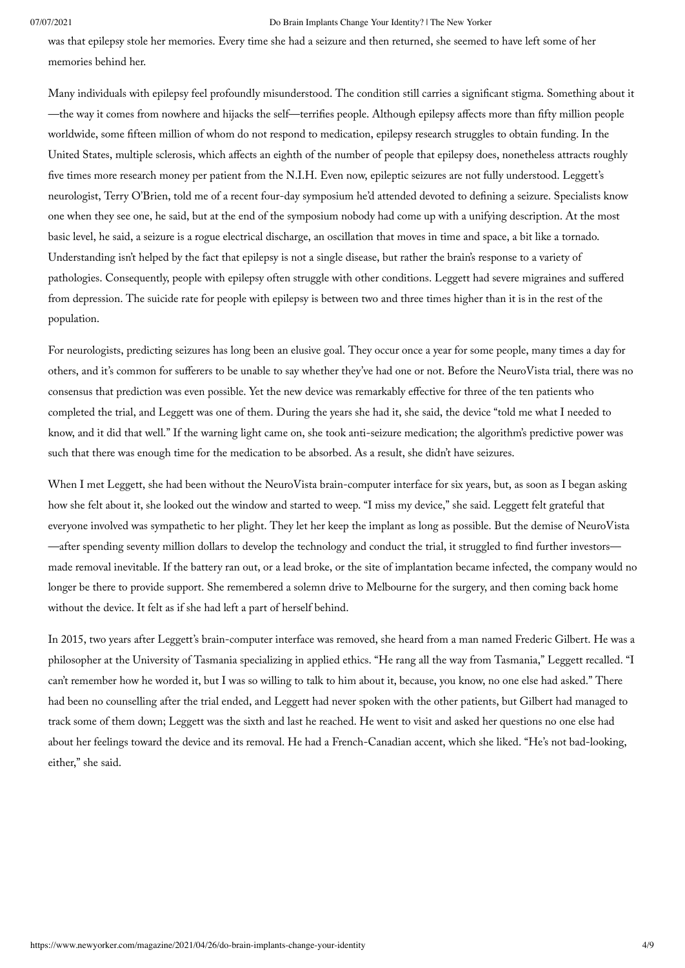was that epilepsy stole her memories. Every time she had a seizure and then returned, she seemed to have left some of her memories behind her.

Many individuals with epilepsy feel profoundly misunderstood. The condition still carries a significant stigma. Something about it —the way it comes from nowhere and hijacks the self—terrifies people. Although epilepsy affects more than fifty million people worldwide, some fifteen million of whom do not respond to medication, epilepsy research struggles to obtain funding. In the United States, multiple sclerosis, which affects an eighth of the number of people that epilepsy does, nonetheless attracts roughly five times more research money per patient from the N.I.H. Even now, epileptic seizures are not fully understood. Leggett's neurologist, Terry O'Brien, told me of a recent four-day symposium he'd attended devoted to defining a seizure. Specialists know one when they see one, he said, but at the end of the symposium nobody had come up with a unifying description. At the most basic level, he said, a seizure is a rogue electrical discharge, an oscillation that moves in time and space, a bit like a tornado. Understanding isn't helped by the fact that epilepsy is not a single disease, but rather the brain's response to a variety of pathologies. Consequently, people with epilepsy often struggle with other conditions. Leggett had severe migraines and suffered from depression. The suicide rate for people with epilepsy is between two and three times higher than it is in the rest of the population.

For neurologists, predicting seizures has long been an elusive goal. They occur once a year for some people, many times a day for others, and it's common for sufferers to be unable to say whether they've had one or not. Before the NeuroVista trial, there was no consensus that prediction was even possible. Yet the new device was remarkably effective for three of the ten patients who completed the trial, and Leggett was one of them. During the years she had it, she said, the device "told me what I needed to know, and it did that well." If the warning light came on, she took anti-seizure medication; the algorithm's predictive power was such that there was enough time for the medication to be absorbed. As a result, she didn't have seizures.

When I met Leggett, she had been without the NeuroVista brain-computer interface for six years, but, as soon as I began asking how she felt about it, she looked out the window and started to weep. "I miss my device," she said. Leggett felt grateful that everyone involved was sympathetic to her plight. They let her keep the implant as long as possible. But the demise of NeuroVista —after spending seventy million dollars to develop the technology and conduct the trial, it struggled to find further investors made removal inevitable. If the battery ran out, or a lead broke, or the site of implantation became infected, the company would no longer be there to provide support. She remembered a solemn drive to Melbourne for the surgery, and then coming back home without the device. It felt as if she had left a part of herself behind.

In 2015, two years after Leggett's brain-computer interface was removed, she heard from a man named Frederic Gilbert. He was a philosopher at the University of Tasmania specializing in applied ethics. "He rang all the way from Tasmania," Leggett recalled. "I can't remember how he worded it, but I was so willing to talk to him about it, because, you know, no one else had asked." There had been no counselling after the trial ended, and Leggett had never spoken with the other patients, but Gilbert had managed to track some of them down; Leggett was the sixth and last he reached. He went to visit and asked her questions no one else had about her feelings toward the device and its removal. He had a French-Canadian accent, which she liked. "He's not bad-looking, either," she said.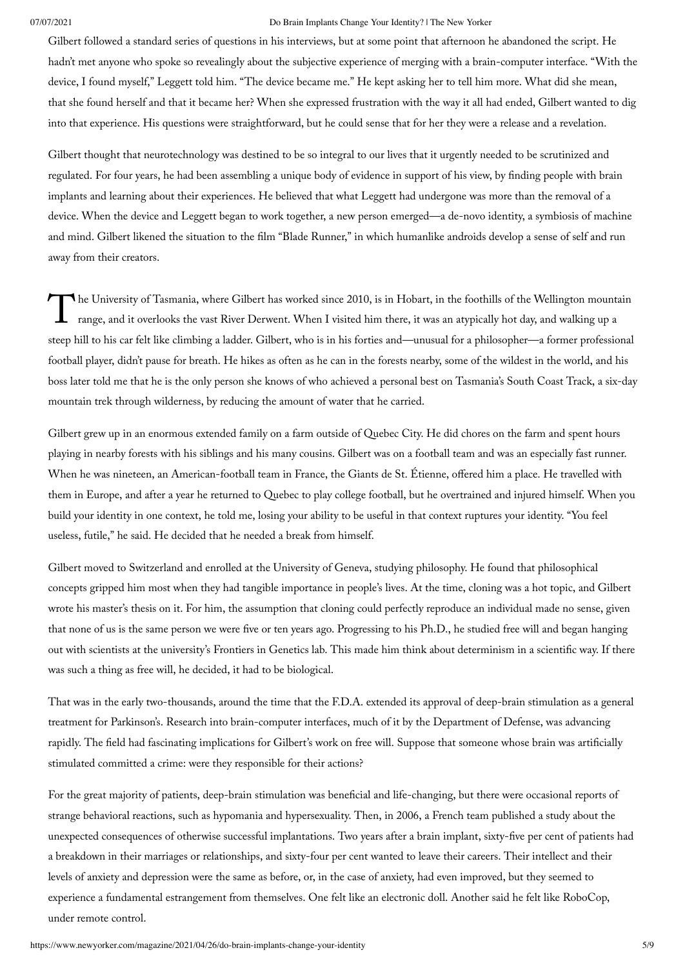Gilbert followed a standard series of questions in his interviews, but at some point that afternoon he abandoned the script. He hadn't met anyone who spoke so revealingly about the subjective experience of merging with a brain-computer interface. "With the device, I found myself," Leggett told him. "The device became me." He kept asking her to tell him more. What did she mean, that she found herself and that it became her? When she expressed frustration with the way it all had ended, Gilbert wanted to dig into that experience. His questions were straightforward, but he could sense that for her they were a release and a revelation.

Gilbert thought that neurotechnology was destined to be so integral to our lives that it urgently needed to be scrutinized and regulated. For four years, he had been assembling a unique body of evidence in support of his view, by finding people with brain implants and learning about their experiences. He believed that what Leggett had undergone was more than the removal of a device. When the device and Leggett began to work together, a new person emerged—a de-novo identity, a symbiosis of machine and mind. Gilbert likened the situation to the film "Blade Runner," in which humanlike androids develop a sense of self and run away from their creators.

The University of Tasmania, where Gilbert has worked since 2010, is in Hobart, in the foothills of the Wellington mountain range, and it overlooks the vast River Derwent. When I visited him there, it was an atypically hot range, and it overlooks the vast River Derwent. When I visited him there, it was an atypically hot day, and walking up a steep hill to his car felt like climbing a ladder. Gilbert, who is in his forties and—unusual for a philosopher—a former professional football player, didn't pause for breath. He hikes as often as he can in the forests nearby, some of the wildest in the world, and his boss later told me that he is the only person she knows of who achieved a personal best on Tasmania's South Coast Track, a six-day mountain trek through wilderness, by reducing the amount of water that he carried.

Gilbert grew up in an enormous extended family on a farm outside of Quebec City. He did chores on the farm and spent hours playing in nearby forests with his siblings and his many cousins. Gilbert was on a football team and was an especially fast runner. When he was nineteen, an American-football team in France, the Giants de St. Étienne, offered him a place. He travelled with them in Europe, and after a year he returned to Quebec to play college football, but he overtrained and injured himself. When you build your identity in one context, he told me, losing your ability to be useful in that context ruptures your identity. "You feel useless, futile," he said. He decided that he needed a break from himself.

Gilbert moved to Switzerland and enrolled at the University of Geneva, studying philosophy. He found that philosophical concepts gripped him most when they had tangible importance in people's lives. At the time, cloning was a hot topic, and Gilbert wrote his master's thesis on it. For him, the assumption that cloning could perfectly reproduce an individual made no sense, given that none of us is the same person we were five or ten years ago. Progressing to his Ph.D., he studied free will and began hanging out with scientists at the university's Frontiers in Genetics lab. This made him think about determinism in a scientific way. If there was such a thing as free will, he decided, it had to be biological.

That was in the early two-thousands, around the time that the F.D.A. extended its approval of deep-brain stimulation as a general treatment for Parkinson's. Research into brain-computer interfaces, much of it by the Department of Defense, was advancing rapidly. The field had fascinating implications for Gilbert's work on free will. Suppose that someone whose brain was artificially stimulated committed a crime: were they responsible for their actions?

For the great majority of patients, deep-brain stimulation was beneficial and life-changing, but there were occasional reports of strange behavioral reactions, such as hypomania and hypersexuality. Then, in 2006, a French team published a study about the unexpected consequences of otherwise successful implantations. Two years after a brain implant, sixty-five per cent of patients had a breakdown in their marriages or relationships, and sixty-four per cent wanted to leave their careers. Their intellect and their levels of anxiety and depression were the same as before, or, in the case of anxiety, had even improved, but they seemed to experience a fundamental estrangement from themselves. One felt like an electronic doll. Another said he felt like RoboCop, under remote control.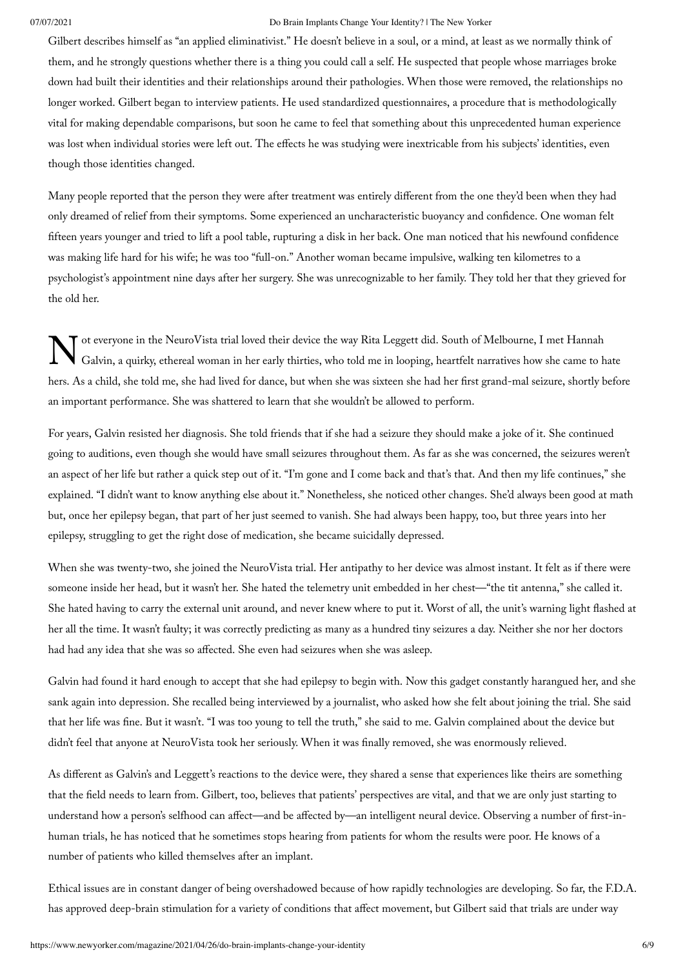Gilbert describes himself as "an applied eliminativist." He doesn't believe in a soul, or a mind, at least as we normally think of them, and he strongly questions whether there is a thing you could call a self. He suspected that people whose marriages broke down had built their identities and their relationships around their pathologies. When those were removed, the relationships no longer worked. Gilbert began to interview patients. He used standardized questionnaires, a procedure that is methodologically vital for making dependable comparisons, but soon he came to feel that something about this unprecedented human experience was lost when individual stories were left out. The effects he was studying were inextricable from his subjects' identities, even though those identities changed.

Many people reported that the person they were after treatment was entirely different from the one they'd been when they had only dreamed of relief from their symptoms. Some experienced an uncharacteristic buoyancy and confidence. One woman felt fifteen years younger and tried to lift a pool table, rupturing a disk in her back. One man noticed that his newfound confidence was making life hard for his wife; he was too "full-on." Another woman became impulsive, walking ten kilometres to a psychologist's appointment nine days after her surgery. She was unrecognizable to her family. They told her that they grieved for the old her.

N ot everyone in the NeuroVista trial loved their device the way Rita Leggett did. South of Melbourne, I met Hannah<br>Galvin, a quirky, ethereal woman in her early thirties, who told me in looping, heartfelt narratives how s Galvin, a quirky, ethereal woman in her early thirties, who told me in looping, heartfelt narratives how she came to hate hers. As a child, she told me, she had lived for dance, but when she was sixteen she had her first grand-mal seizure, shortly before an important performance. She was shattered to learn that she wouldn't be allowed to perform.

For years, Galvin resisted her diagnosis. She told friends that if she had a seizure they should make a joke of it. She continued going to auditions, even though she would have small seizures throughout them. As far as she was concerned, the seizures weren't an aspect of her life but rather a quick step out of it. "I'm gone and I come back and that's that. And then my life continues," she explained. "I didn't want to know anything else about it." Nonetheless, she noticed other changes. She'd always been good at math but, once her epilepsy began, that part of her just seemed to vanish. She had always been happy, too, but three years into her epilepsy, struggling to get the right dose of medication, she became suicidally depressed.

When she was twenty-two, she joined the NeuroVista trial. Her antipathy to her device was almost instant. It felt as if there were someone inside her head, but it wasn't her. She hated the telemetry unit embedded in her chest—"the tit antenna," she called it. She hated having to carry the external unit around, and never knew where to put it. Worst of all, the unit's warning light flashed at her all the time. It wasn't faulty; it was correctly predicting as many as a hundred tiny seizures a day. Neither she nor her doctors had had any idea that she was so affected. She even had seizures when she was asleep.

Galvin had found it hard enough to accept that she had epilepsy to begin with. Now this gadget constantly harangued her, and she sank again into depression. She recalled being interviewed by a journalist, who asked how she felt about joining the trial. She said that her life was fine. But it wasn't. "I was too young to tell the truth," she said to me. Galvin complained about the device but didn't feel that anyone at NeuroVista took her seriously. When it was finally removed, she was enormously relieved.

As different as Galvin's and Leggett's reactions to the device were, they shared a sense that experiences like theirs are something that the field needs to learn from. Gilbert, too, believes that patients' perspectives are vital, and that we are only just starting to understand how a person's selfhood can affect—and be affected by—an intelligent neural device. Observing a number of first-inhuman trials, he has noticed that he sometimes stops hearing from patients for whom the results were poor. He knows of a number of patients who killed themselves after an implant.

Ethical issues are in constant danger of being overshadowed because of how rapidly technologies are developing. So far, the F.D.A. has approved deep-brain stimulation for a variety of conditions that affect movement, but Gilbert said that trials are under way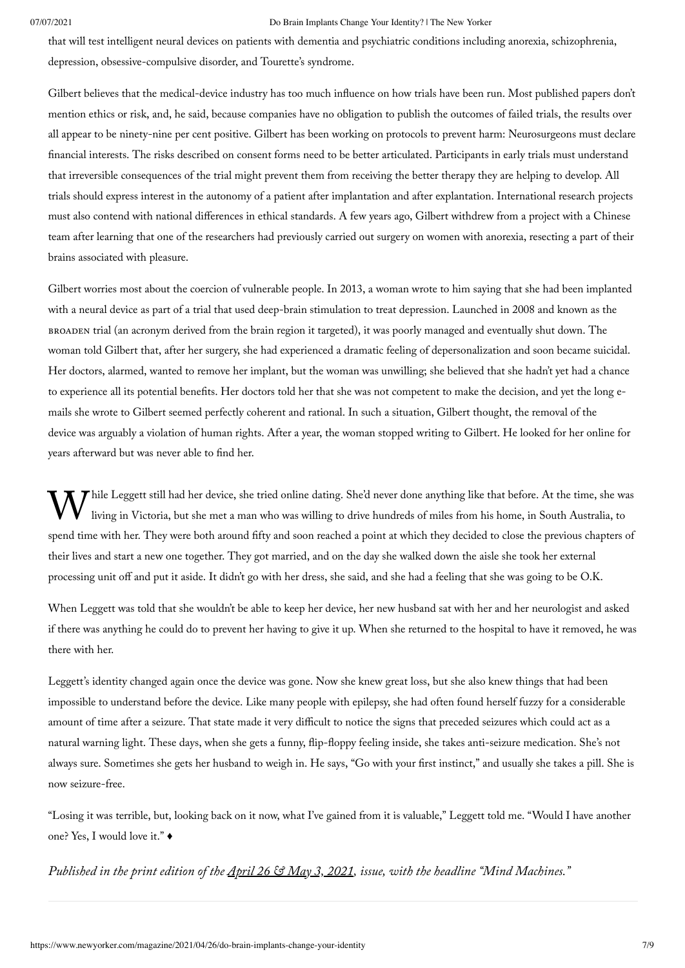that will test intelligent neural devices on patients with dementia and psychiatric conditions including anorexia, schizophrenia, depression, obsessive-compulsive disorder, and Tourette's syndrome.

Gilbert believes that the medical-device industry has too much influence on how trials have been run. Most published papers don't mention ethics or risk, and, he said, because companies have no obligation to publish the outcomes of failed trials, the results over all appear to be ninety-nine per cent positive. Gilbert has been working on protocols to prevent harm: Neurosurgeons must declare financial interests. The risks described on consent forms need to be better articulated. Participants in early trials must understand that irreversible consequences of the trial might prevent them from receiving the better therapy they are helping to develop. All trials should express interest in the autonomy of a patient after implantation and after explantation. International research projects must also contend with national differences in ethical standards. A few years ago, Gilbert withdrew from a project with a Chinese team after learning that one of the researchers had previously carried out surgery on women with anorexia, resecting a part of their brains associated with pleasure.

Gilbert worries most about the coercion of vulnerable people. In 2013, a woman wrote to him saying that she had been implanted with a neural device as part of a trial that used deep-brain stimulation to treat depression. Launched in 2008 and known as the broaden trial (an acronym derived from the brain region it targeted), it was poorly managed and eventually shut down. The woman told Gilbert that, after her surgery, she had experienced a dramatic feeling of depersonalization and soon became suicidal. Her doctors, alarmed, wanted to remove her implant, but the woman was unwilling; she believed that she hadn't yet had a chance to experience all its potential benefits. Her doctors told her that she was not competent to make the decision, and yet the long emails she wrote to Gilbert seemed perfectly coherent and rational. In such a situation, Gilbert thought, the removal of the device was arguably a violation of human rights. After a year, the woman stopped writing to Gilbert. He looked for her online for years afterward but was never able to find her.

While Leggett still had her device, she tried online dating. She'd never done anything like that before. At the time, she was<br>living in Victoria, but she met a man who was willing to drive hundreds of miles from his home, living in Victoria, but she met a man who was willing to drive hundreds of miles from his home, in South Australia, to spend time with her. They were both around fifty and soon reached a point at which they decided to close the previous chapters of their lives and start a new one together. They got married, and on the day she walked down the aisle she took her external processing unit off and put it aside. It didn't go with her dress, she said, and she had a feeling that she was going to be O.K.

When Leggett was told that she wouldn't be able to keep her device, her new husband sat with her and her neurologist and asked if there was anything he could do to prevent her having to give it up. When she returned to the hospital to have it removed, he was there with her.

Leggett's identity changed again once the device was gone. Now she knew great loss, but she also knew things that had been impossible to understand before the device. Like many people with epilepsy, she had often found herself fuzzy for a considerable amount of time after a seizure. That state made it very difficult to notice the signs that preceded seizures which could act as a natural warning light. These days, when she gets a funny, flip-floppy feeling inside, she takes anti-seizure medication. She's not always sure. Sometimes she gets her husband to weigh in. He says, "Go with your first instinct," and usually she takes a pill. She is now seizure-free.

"Losing it was terrible, but, looking back on it now, what I've gained from it is valuable," Leggett told me. "Would I have another one? Yes, I would love it." ♦

Published in the print edition of the <u>April 26 & May [3, 2021](https://www.newyorker.com/magazine/2021/04/26)</u>, issue, with the headline "Mind Machines."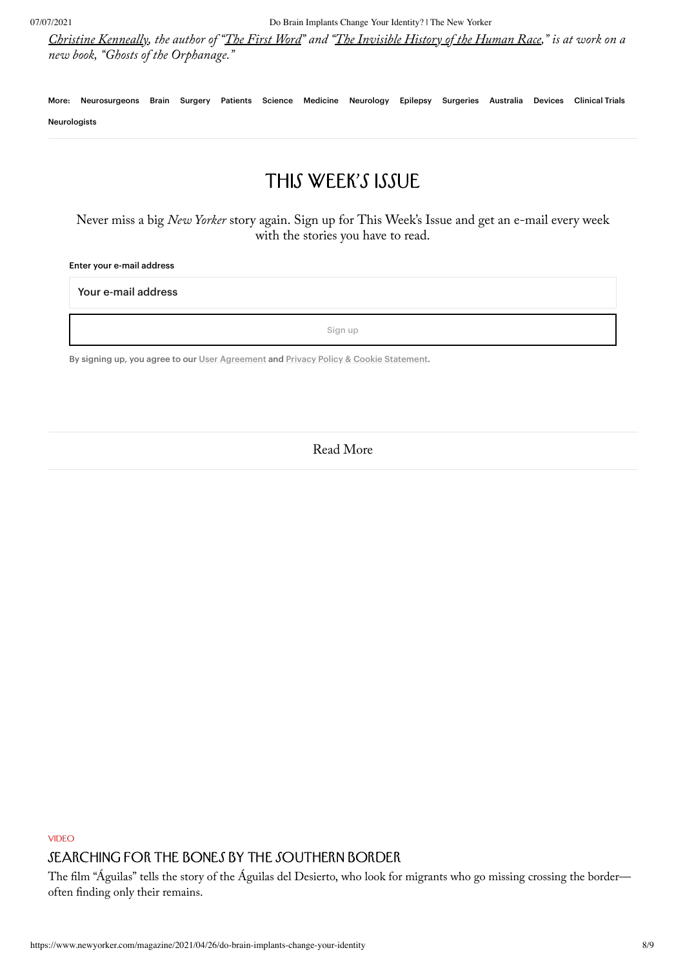Christine [Kenneally,](https://www.newyorker.com/contributors/christine-kenneally) the author of "The First [Word"](https://www.amazon.com/First-Word-Search-Origins-Language/dp/0143113747?ots=1&slotNum=0&imprToken=88bd402c-8843-39ab-f15&tag=thneyo0f-20&linkCode=w50) and "The [Invisible](https://www.amazon.com/Invisible-History-Human-Race-Identities/dp/0670025550?ots=1&slotNum=1&imprToken=88bd402c-8843-39ab-f15&tag=thneyo0f-20&linkCode=w50) History of the Human Race," is at work on a new book, "Ghosts of the Orphanage."

More: [Neurosurgeons](https://www.newyorker.com/tag/neurosurgeons) [Brain](https://www.newyorker.com/tag/brain) [Surgery](https://www.newyorker.com/tag/surgery) [Patients](https://www.newyorker.com/tag/patients) [Science](https://www.newyorker.com/tag/science) [Medicine](https://www.newyorker.com/tag/medicine) [Neurology](https://www.newyorker.com/tag/neurology) [Epilepsy](https://www.newyorker.com/tag/epilepsy) [Surgeries](https://www.newyorker.com/tag/surgeries) [Australia](https://www.newyorker.com/tag/australia) [Devices](https://www.newyorker.com/tag/devices) [Clinical](https://www.newyorker.com/tag/clinical-trials) Trials [Neurologists](https://www.newyorker.com/tag/neurologists)

## This Week's Issue

Never miss a big New Yorker story again. Sign up for This Week's Issue and get an e-mail every week with the stories you have to read.

#### Enter your e-mail address

Your e-mail address

Sign up

By signing up, you agree to our User [Agreement](https://www.condenast.com/user-agreement) and Privacy Policy & Cookie [Statement.](https://www.condenast.com/privacy-policy)

Read More

VIDEO

### SEARCHING FOR THE BONES BY THE SOUTHERN BORDER

The film "Águilas" tells the story of the Águilas del Desierto, who look for migrants who go missing crossing the border often finding only their remains.